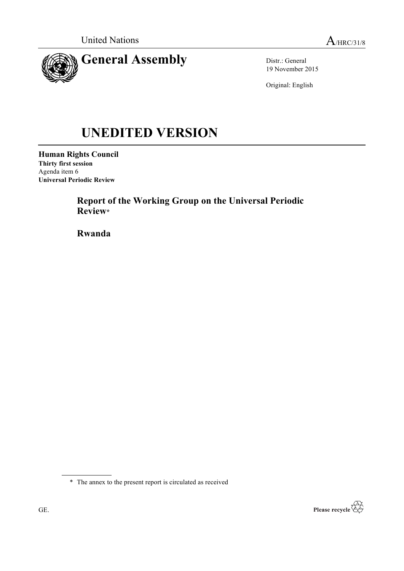

Distr.: General 19 November 2015

Original: English

# **UNEDITED VERSION**

**Human Rights Council Thirty first session** Agenda item 6 **Universal Periodic Review**

> **Report of the Working Group on the Universal Periodic Review\***

**Rwanda**

\* The annex to the present report is circulated as received

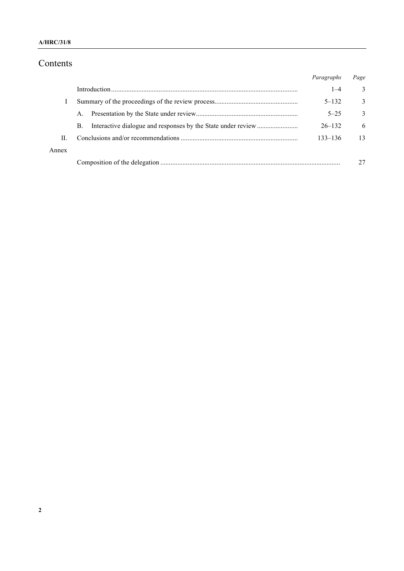# Contents

|       |    | Paragraphs  | Page         |
|-------|----|-------------|--------------|
|       |    | $1 - 4$     | 3            |
|       |    | $5 - 132$   | 3            |
|       | A. | $5 - 25$    | $\mathbf{3}$ |
|       | B. | $26 - 132$  | 6            |
| П     |    | $133 - 136$ | 13           |
| Annex |    |             |              |
|       |    |             |              |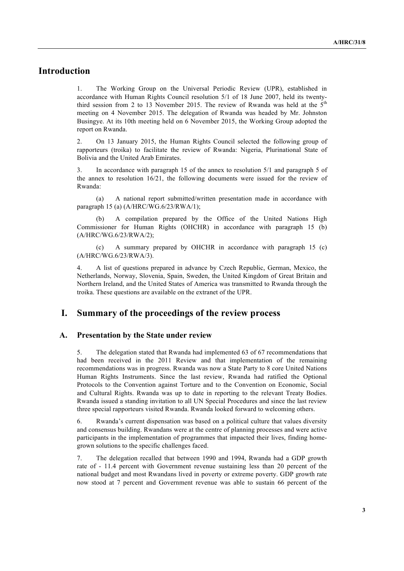# **Introduction**

1. The Working Group on the Universal Periodic Review (UPR), established in accordance with Human Rights Council resolution 5/1 of 18 June 2007, held its twentythird session from 2 to 13 November 2015. The review of Rwanda was held at the  $5<sup>th</sup>$ meeting on 4 November 2015. The delegation of Rwanda was headed by Mr. Johnston Busingye. At its 10th meeting held on 6 November 2015, the Working Group adopted the report on Rwanda.

2. On 13 January 2015, the Human Rights Council selected the following group of rapporteurs (troika) to facilitate the review of Rwanda: Nigeria, Plurinational State of Bolivia and the United Arab Emirates.

3. In accordance with paragraph 15 of the annex to resolution 5/1 and paragraph 5 of the annex to resolution 16/21, the following documents were issued for the review of Rwanda:

(a) A national report submitted/written presentation made in accordance with paragraph 15 (a) (A/HRC/WG.6/23/RWA/1);

A compilation prepared by the Office of the United Nations High Commissioner for Human Rights (OHCHR) in accordance with paragraph 15 (b) (A/HRC/WG.6/23/RWA/2);

(c) A summary prepared by OHCHR in accordance with paragraph 15 (c) (A/HRC/WG.6/23/RWA/3).

4. A list of questions prepared in advance by Czech Republic, German, Mexico, the Netherlands, Norway, Slovenia, Spain, Sweden, the United Kingdom of Great Britain and Northern Ireland, and the United States of America was transmitted to Rwanda through the troika. These questions are available on the extranet of the UPR.

## **I. Summary of the proceedings of the review process**

#### **A. Presentation by the State under review**

5. The delegation stated that Rwanda had implemented 63 of 67 recommendations that had been received in the 2011 Review and that implementation of the remaining recommendations was in progress. Rwanda was now a State Party to 8 core United Nations Human Rights Instruments. Since the last review, Rwanda had ratified the Optional Protocols to the Convention against Torture and to the Convention on Economic, Social and Cultural Rights. Rwanda was up to date in reporting to the relevant Treaty Bodies. Rwanda issued a standing invitation to all UN Special Procedures and since the last review three special rapporteurs visited Rwanda. Rwanda looked forward to welcoming others.

6. Rwanda's current dispensation was based on a political culture that values diversity and consensus building. Rwandans were at the centre of planning processes and were active participants in the implementation of programmes that impacted their lives, finding homegrown solutions to the specific challenges faced.

7. The delegation recalled that between 1990 and 1994, Rwanda had a GDP growth rate of - 11.4 percent with Government revenue sustaining less than 20 percent of the national budget and most Rwandans lived in poverty or extreme poverty. GDP growth rate now stood at 7 percent and Government revenue was able to sustain 66 percent of the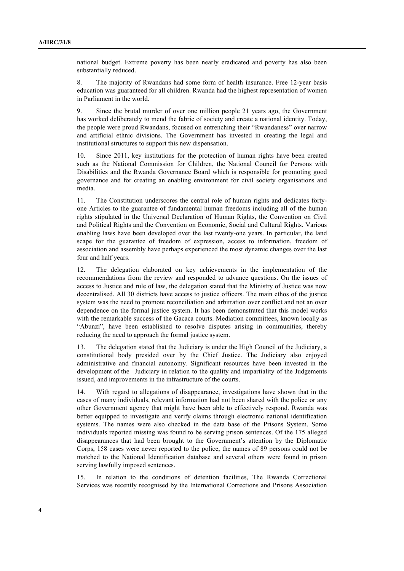national budget. Extreme poverty has been nearly eradicated and poverty has also been substantially reduced.

8. The majority of Rwandans had some form of health insurance. Free 12-year basis education was guaranteed for all children. Rwanda had the highest representation of women in Parliament in the world.

9. Since the brutal murder of over one million people 21 years ago, the Government has worked deliberately to mend the fabric of society and create a national identity. Today, the people were proud Rwandans, focused on entrenching their "Rwandaness" over narrow and artificial ethnic divisions. The Government has invested in creating the legal and institutional structures to support this new dispensation.

10. Since 2011, key institutions for the protection of human rights have been created such as the National Commission for Children, the National Council for Persons with Disabilities and the Rwanda Governance Board which is responsible for promoting good governance and for creating an enabling environment for civil society organisations and media.

11. The Constitution underscores the central role of human rights and dedicates fortyone Articles to the guarantee of fundamental human freedoms including all of the human rights stipulated in the Universal Declaration of Human Rights, the Convention on Civil and Political Rights and the Convention on Economic, Social and Cultural Rights. Various enabling laws have been developed over the last twenty-one years. In particular, the land scape for the guarantee of freedom of expression, access to information, freedom of association and assembly have perhaps experienced the most dynamic changes over the last four and half years.

12. The delegation elaborated on key achievements in the implementation of the recommendations from the review and responded to advance questions. On the issues of access to Justice and rule of law, the delegation stated that the Ministry of Justice was now decentralised. All 30 districts have access to justice officers. The main ethos of the justice system was the need to promote reconciliation and arbitration over conflict and not an over dependence on the formal justice system. It has been demonstrated that this model works with the remarkable success of the Gacaca courts. Mediation committees, known locally as "Abunzi", have been established to resolve disputes arising in communities, thereby reducing the need to approach the formal justice system.

13. The delegation stated that the Judiciary is under the High Council of the Judiciary, a constitutional body presided over by the Chief Justice. The Judiciary also enjoyed administrative and financial autonomy. Significant resources have been invested in the development of the Judiciary in relation to the quality and impartiality of the Judgements issued, and improvements in the infrastructure of the courts.

14. With regard to allegations of disappearance, investigations have shown that in the cases of many individuals, relevant information had not been shared with the police or any other Government agency that might have been able to effectively respond. Rwanda was better equipped to investigate and verify claims through electronic national identification systems. The names were also checked in the data base of the Prisons System. Some individuals reported missing was found to be serving prison sentences. Of the 175 alleged disappearances that had been brought to the Government's attention by the Diplomatic Corps, 158 cases were never reported to the police, the names of 89 persons could not be matched to the National Identification database and several others were found in prison serving lawfully imposed sentences.

15. In relation to the conditions of detention facilities, The Rwanda Correctional Services was recently recognised by the International Corrections and Prisons Association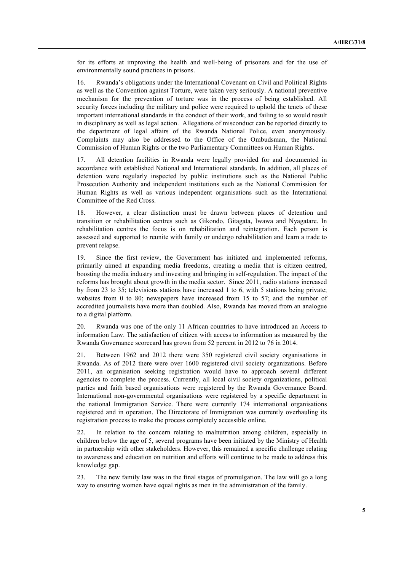for its efforts at improving the health and well-being of prisoners and for the use of environmentally sound practices in prisons.

16. Rwanda's obligations under the International Covenant on Civil and Political Rights as well as the Convention against Torture, were taken very seriously. A national preventive mechanism for the prevention of torture was in the process of being established. All security forces including the military and police were required to uphold the tenets of these important international standards in the conduct of their work, and failing to so would result in disciplinary as well as legal action. Allegations of misconduct can be reported directly to the department of legal affairs of the Rwanda National Police, even anonymously. Complaints may also be addressed to the Office of the Ombudsman, the National Commission of Human Rights or the two Parliamentary Committees on Human Rights.

17. All detention facilities in Rwanda were legally provided for and documented in accordance with established National and International standards. In addition, all places of detention were regularly inspected by public institutions such as the National Public Prosecution Authority and independent institutions such as the National Commission for Human Rights as well as various independent organisations such as the International Committee of the Red Cross.

18. However, a clear distinction must be drawn between places of detention and transition or rehabilitation centres such as Gikondo, Gitagata, Iwawa and Nyagatare. In rehabilitation centres the focus is on rehabilitation and reintegration. Each person is assessed and supported to reunite with family or undergo rehabilitation and learn a trade to prevent relapse.

19. Since the first review, the Government has initiated and implemented reforms, primarily aimed at expanding media freedoms, creating a media that is citizen centred, boosting the media industry and investing and bringing in self-regulation. The impact of the reforms has brought about growth in the media sector. Since 2011, radio stations increased by from 23 to 35; televisions stations have increased 1 to 6, with 5 stations being private; websites from 0 to 80; newspapers have increased from 15 to 57; and the number of accredited journalists have more than doubled. Also, Rwanda has moved from an analogue to a digital platform.

20. Rwanda was one of the only 11 African countries to have introduced an Access to information Law. The satisfaction of citizen with access to information as measured by the Rwanda Governance scorecard has grown from 52 percent in 2012 to 76 in 2014.

21. Between 1962 and 2012 there were 350 registered civil society organisations in Rwanda. As of 2012 there were over 1600 registered civil society organizations. Before 2011, an organisation seeking registration would have to approach several different agencies to complete the process. Currently, all local civil society organizations, political parties and faith based organisations were registered by the Rwanda Governance Board. International non-governmental organisations were registered by a specific department in the national Immigration Service. There were currently 174 international organisations registered and in operation. The Directorate of Immigration was currently overhauling its registration process to make the process completely accessible online.

22. In relation to the concern relating to malnutrition among children, especially in children below the age of 5, several programs have been initiated by the Ministry of Health in partnership with other stakeholders. However, this remained a specific challenge relating to awareness and education on nutrition and efforts will continue to be made to address this knowledge gap.

23. The new family law was in the final stages of promulgation. The law will go a long way to ensuring women have equal rights as men in the administration of the family.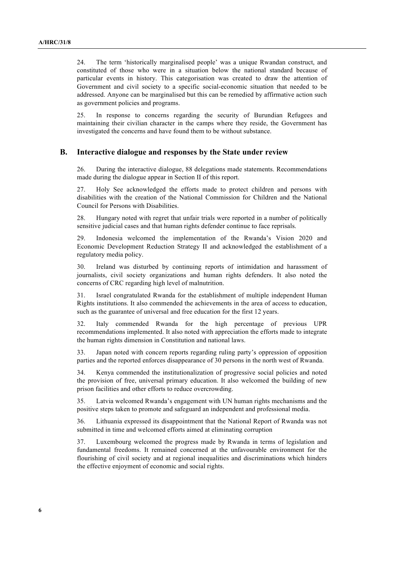24. The term 'historically marginalised people' was a unique Rwandan construct, and constituted of those who were in a situation below the national standard because of particular events in history. This categorisation was created to draw the attention of Government and civil society to a specific social-economic situation that needed to be addressed. Anyone can be marginalised but this can be remedied by affirmative action such as government policies and programs.

25. In response to concerns regarding the security of Burundian Refugees and maintaining their civilian character in the camps where they reside, the Government has investigated the concerns and have found them to be without substance.

#### **B. Interactive dialogue and responses by the State under review**

26. During the interactive dialogue, 88 delegations made statements. Recommendations made during the dialogue appear in Section II of this report.

27. Holy See acknowledged the efforts made to protect children and persons with disabilities with the creation of the National Commission for Children and the National Council for Persons with Disabilities.

28. Hungary noted with regret that unfair trials were reported in a number of politically sensitive judicial cases and that human rights defender continue to face reprisals.

29. Indonesia welcomed the implementation of the Rwanda's Vision 2020 and Economic Development Reduction Strategy II and acknowledged the establishment of a regulatory media policy.

30. Ireland was disturbed by continuing reports of intimidation and harassment of journalists, civil society organizations and human rights defenders. It also noted the concerns of CRC regarding high level of malnutrition.

31. Israel congratulated Rwanda for the establishment of multiple independent Human Rights institutions. It also commended the achievements in the area of access to education, such as the guarantee of universal and free education for the first 12 years.

32. Italy commended Rwanda for the high percentage of previous UPR recommendations implemented. It also noted with appreciation the efforts made to integrate the human rights dimension in Constitution and national laws.

33. Japan noted with concern reports regarding ruling party's oppression of opposition parties and the reported enforces disappearance of 30 persons in the north west of Rwanda.

34. Kenya commended the institutionalization of progressive social policies and noted the provision of free, universal primary education. It also welcomed the building of new prison facilities and other efforts to reduce overcrowding.

35. Latvia welcomed Rwanda's engagement with UN human rights mechanisms and the positive steps taken to promote and safeguard an independent and professional media.

36. Lithuania expressed its disappointment that the National Report of Rwanda was not submitted in time and welcomed efforts aimed at eliminating corruption

37. Luxembourg welcomed the progress made by Rwanda in terms of legislation and fundamental freedoms. It remained concerned at the unfavourable environment for the flourishing of civil society and at regional inequalities and discriminations which hinders the effective enjoyment of economic and social rights.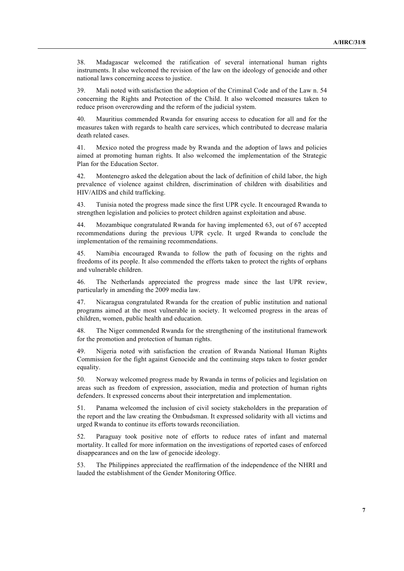38. Madagascar welcomed the ratification of several international human rights instruments. It also welcomed the revision of the law on the ideology of genocide and other national laws concerning access to justice.

39. Mali noted with satisfaction the adoption of the Criminal Code and of the Law n. 54 concerning the Rights and Protection of the Child. It also welcomed measures taken to reduce prison overcrowding and the reform of the judicial system.

40. Mauritius commended Rwanda for ensuring access to education for all and for the measures taken with regards to health care services, which contributed to decrease malaria death related cases.

41. Mexico noted the progress made by Rwanda and the adoption of laws and policies aimed at promoting human rights. It also welcomed the implementation of the Strategic Plan for the Education Sector.

42. Montenegro asked the delegation about the lack of definition of child labor, the high prevalence of violence against children, discrimination of children with disabilities and HIV/AIDS and child trafficking.

43. Tunisia noted the progress made since the first UPR cycle. It encouraged Rwanda to strengthen legislation and policies to protect children against exploitation and abuse.

44. Mozambique congratulated Rwanda for having implemented 63, out of 67 accepted recommendations during the previous UPR cycle. It urged Rwanda to conclude the implementation of the remaining recommendations.

45. Namibia encouraged Rwanda to follow the path of focusing on the rights and freedoms of its people. It also commended the efforts taken to protect the rights of orphans and vulnerable children.

46. The Netherlands appreciated the progress made since the last UPR review, particularly in amending the 2009 media law.

47. Nicaragua congratulated Rwanda for the creation of public institution and national programs aimed at the most vulnerable in society. It welcomed progress in the areas of children, women, public health and education.

48. The Niger commended Rwanda for the strengthening of the institutional framework for the promotion and protection of human rights.

49. Nigeria noted with satisfaction the creation of Rwanda National Human Rights Commission for the fight against Genocide and the continuing steps taken to foster gender equality.

50. Norway welcomed progress made by Rwanda in terms of policies and legislation on areas such as freedom of expression, association, media and protection of human rights defenders. It expressed concerns about their interpretation and implementation.

51. Panama welcomed the inclusion of civil society stakeholders in the preparation of the report and the law creating the Ombudsman. It expressed solidarity with all victims and urged Rwanda to continue its efforts towards reconciliation.

52. Paraguay took positive note of efforts to reduce rates of infant and maternal mortality. It called for more information on the investigations of reported cases of enforced disappearances and on the law of genocide ideology.

53. The Philippines appreciated the reaffirmation of the independence of the NHRI and lauded the establishment of the Gender Monitoring Office.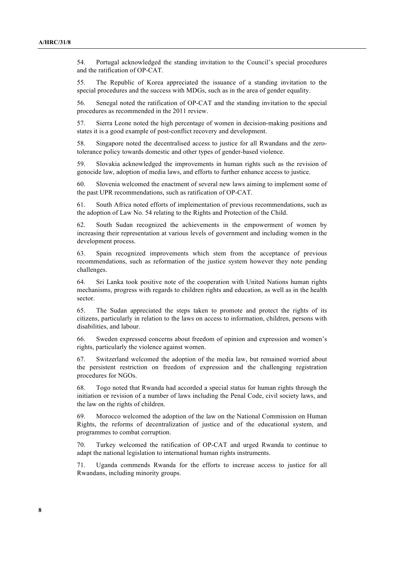54. Portugal acknowledged the standing invitation to the Council's special procedures and the ratification of OP-CAT.

55. The Republic of Korea appreciated the issuance of a standing invitation to the special procedures and the success with MDGs, such as in the area of gender equality.

56. Senegal noted the ratification of OP-CAT and the standing invitation to the special procedures as recommended in the 2011 review.

57. Sierra Leone noted the high percentage of women in decision-making positions and states it is a good example of post-conflict recovery and development.

58. Singapore noted the decentralised access to justice for all Rwandans and the zerotolerance policy towards domestic and other types of gender-based violence.

59. Slovakia acknowledged the improvements in human rights such as the revision of genocide law, adoption of media laws, and efforts to further enhance access to justice.

60. Slovenia welcomed the enactment of several new laws aiming to implement some of the past UPR recommendations, such as ratification of OP-CAT.

61. South Africa noted efforts of implementation of previous recommendations, such as the adoption of Law No. 54 relating to the Rights and Protection of the Child.

62. South Sudan recognized the achievements in the empowerment of women by increasing their representation at various levels of government and including women in the development process.

63. Spain recognized improvements which stem from the acceptance of previous recommendations, such as reformation of the justice system however they note pending challenges.

64. Sri Lanka took positive note of the cooperation with United Nations human rights mechanisms, progress with regards to children rights and education, as well as in the health sector.

65. The Sudan appreciated the steps taken to promote and protect the rights of its citizens, particularly in relation to the laws on access to information, children, persons with disabilities, and labour.

66. Sweden expressed concerns about freedom of opinion and expression and women's rights, particularly the violence against women.

67. Switzerland welcomed the adoption of the media law, but remained worried about the persistent restriction on freedom of expression and the challenging registration procedures for NGOs.

68. Togo noted that Rwanda had accorded a special status for human rights through the initiation or revision of a number of laws including the Penal Code, civil society laws, and the law on the rights of children.

69. Morocco welcomed the adoption of the law on the National Commission on Human Rights, the reforms of decentralization of justice and of the educational system, and programmes to combat corruption.

70. Turkey welcomed the ratification of OP-CAT and urged Rwanda to continue to adapt the national legislation to international human rights instruments.

71. Uganda commends Rwanda for the efforts to increase access to justice for all Rwandans, including minority groups.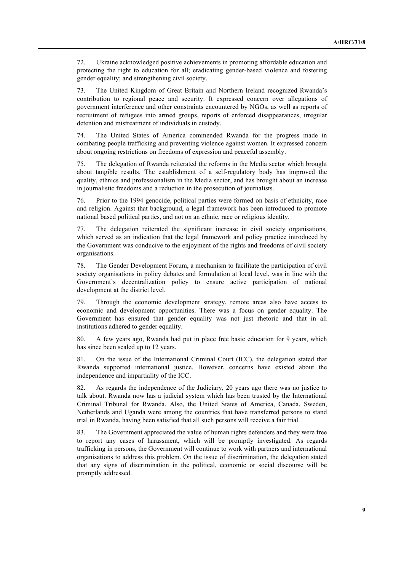72. Ukraine acknowledged positive achievements in promoting affordable education and protecting the right to education for all; eradicating gender-based violence and fostering gender equality; and strengthening civil society.

73. The United Kingdom of Great Britain and Northern Ireland recognized Rwanda's contribution to regional peace and security. It expressed concern over allegations of government interference and other constraints encountered by NGOs, as well as reports of recruitment of refugees into armed groups, reports of enforced disappearances, irregular detention and mistreatment of individuals in custody.

74. The United States of America commended Rwanda for the progress made in combating people trafficking and preventing violence against women. It expressed concern about ongoing restrictions on freedoms of expression and peaceful assembly.

75. The delegation of Rwanda reiterated the reforms in the Media sector which brought about tangible results. The establishment of a self-regulatory body has improved the quality, ethnics and professionalism in the Media sector, and has brought about an increase in journalistic freedoms and a reduction in the prosecution of journalists.

76. Prior to the 1994 genocide, political parties were formed on basis of ethnicity, race and religion. Against that background, a legal framework has been introduced to promote national based political parties, and not on an ethnic, race or religious identity.

77. The delegation reiterated the significant increase in civil society organisations, which served as an indication that the legal framework and policy practice introduced by the Government was conducive to the enjoyment of the rights and freedoms of civil society organisations.

78. The Gender Development Forum, a mechanism to facilitate the participation of civil society organisations in policy debates and formulation at local level, was in line with the Government's decentralization policy to ensure active participation of national development at the district level.

79. Through the economic development strategy, remote areas also have access to economic and development opportunities. There was a focus on gender equality. The Government has ensured that gender equality was not just rhetoric and that in all institutions adhered to gender equality.

80. A few years ago, Rwanda had put in place free basic education for 9 years, which has since been scaled up to 12 years.

81. On the issue of the International Criminal Court (ICC), the delegation stated that Rwanda supported international justice. However, concerns have existed about the independence and impartiality of the ICC.

82. As regards the independence of the Judiciary, 20 years ago there was no justice to talk about. Rwanda now has a judicial system which has been trusted by the International Criminal Tribunal for Rwanda. Also, the United States of America, Canada, Sweden, Netherlands and Uganda were among the countries that have transferred persons to stand trial in Rwanda, having been satisfied that all such persons will receive a fair trial.

83. The Government appreciated the value of human rights defenders and they were free to report any cases of harassment, which will be promptly investigated. As regards trafficking in persons, the Government will continue to work with partners and international organisations to address this problem. On the issue of discrimination, the delegation stated that any signs of discrimination in the political, economic or social discourse will be promptly addressed.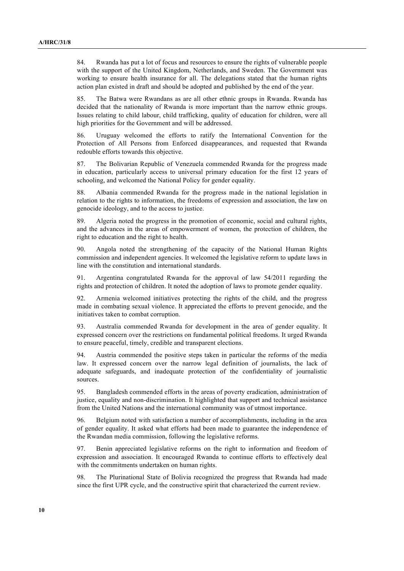84. Rwanda has put a lot of focus and resources to ensure the rights of vulnerable people with the support of the United Kingdom, Netherlands, and Sweden. The Government was working to ensure health insurance for all. The delegations stated that the human rights action plan existed in draft and should be adopted and published by the end of the year.

85. The Batwa were Rwandans as are all other ethnic groups in Rwanda. Rwanda has decided that the nationality of Rwanda is more important than the narrow ethnic groups. Issues relating to child labour, child trafficking, quality of education for children, were all high priorities for the Government and will be addressed.

86. Uruguay welcomed the efforts to ratify the International Convention for the Protection of All Persons from Enforced disappearances, and requested that Rwanda redouble efforts towards this objective.

87. The Bolivarian Republic of Venezuela commended Rwanda for the progress made in education, particularly access to universal primary education for the first 12 years of schooling, and welcomed the National Policy for gender equality.

88. Albania commended Rwanda for the progress made in the national legislation in relation to the rights to information, the freedoms of expression and association, the law on genocide ideology, and to the access to justice.

89. Algeria noted the progress in the promotion of economic, social and cultural rights, and the advances in the areas of empowerment of women, the protection of children, the right to education and the right to health.

90. Angola noted the strengthening of the capacity of the National Human Rights commission and independent agencies. It welcomed the legislative reform to update laws in line with the constitution and international standards.

91. Argentina congratulated Rwanda for the approval of law 54/2011 regarding the rights and protection of children. It noted the adoption of laws to promote gender equality.

92. Armenia welcomed initiatives protecting the rights of the child, and the progress made in combating sexual violence. It appreciated the efforts to prevent genocide, and the initiatives taken to combat corruption.

93. Australia commended Rwanda for development in the area of gender equality. It expressed concern over the restrictions on fundamental political freedoms. It urged Rwanda to ensure peaceful, timely, credible and transparent elections.

94. Austria commended the positive steps taken in particular the reforms of the media law. It expressed concern over the narrow legal definition of journalists, the lack of adequate safeguards, and inadequate protection of the confidentiality of journalistic sources.

95. Bangladesh commended efforts in the areas of poverty eradication, administration of justice, equality and non-discrimination. It highlighted that support and technical assistance from the United Nations and the international community was of utmost importance.

96. Belgium noted with satisfaction a number of accomplishments, including in the area of gender equality. It asked what efforts had been made to guarantee the independence of the Rwandan media commission, following the legislative reforms.

97. Benin appreciated legislative reforms on the right to information and freedom of expression and association. It encouraged Rwanda to continue efforts to effectively deal with the commitments undertaken on human rights.

98. The Plurinational State of Bolivia recognized the progress that Rwanda had made since the first UPR cycle, and the constructive spirit that characterized the current review.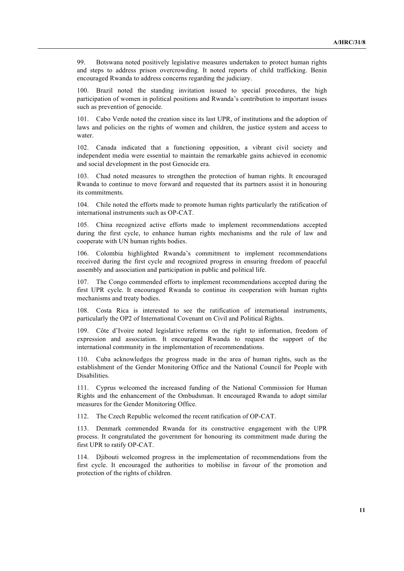99. Botswana noted positively legislative measures undertaken to protect human rights and steps to address prison overcrowding. It noted reports of child trafficking. Benin encouraged Rwanda to address concerns regarding the judiciary.

Brazil noted the standing invitation issued to special procedures, the high participation of women in political positions and Rwanda's contribution to important issues such as prevention of genocide.

101. Cabo Verde noted the creation since its last UPR, of institutions and the adoption of laws and policies on the rights of women and children, the justice system and access to water

102. Canada indicated that a functioning opposition, a vibrant civil society and independent media were essential to maintain the remarkable gains achieved in economic and social development in the post Genocide era.

103. Chad noted measures to strengthen the protection of human rights. It encouraged Rwanda to continue to move forward and requested that its partners assist it in honouring its commitments.

104. Chile noted the efforts made to promote human rights particularly the ratification of international instruments such as OP-CAT.

105. China recognized active efforts made to implement recommendations accepted during the first cycle, to enhance human rights mechanisms and the rule of law and cooperate with UN human rights bodies.

106. Colombia highlighted Rwanda's commitment to implement recommendations received during the first cycle and recognized progress in ensuring freedom of peaceful assembly and association and participation in public and political life.

107. The Congo commended efforts to implement recommendations accepted during the first UPR cycle. It encouraged Rwanda to continue its cooperation with human rights mechanisms and treaty bodies.

108. Costa Rica is interested to see the ratification of international instruments, particularly the OP2 of International Covenant on Civil and Political Rights.

109. Côte d'Ivoire noted legislative reforms on the right to information, freedom of expression and association. It encouraged Rwanda to request the support of the international community in the implementation of recommendations.

110. Cuba acknowledges the progress made in the area of human rights, such as the establishment of the Gender Monitoring Office and the National Council for People with Disabilities.

111. Cyprus welcomed the increased funding of the National Commission for Human Rights and the enhancement of the Ombudsman. It encouraged Rwanda to adopt similar measures for the Gender Monitoring Office.

112. The Czech Republic welcomed the recent ratification of OP-CAT.

113. Denmark commended Rwanda for its constructive engagement with the UPR process. It congratulated the government for honouring its commitment made during the first UPR to ratify OP-CAT.

114. Djibouti welcomed progress in the implementation of recommendations from the first cycle. It encouraged the authorities to mobilise in favour of the promotion and protection of the rights of children.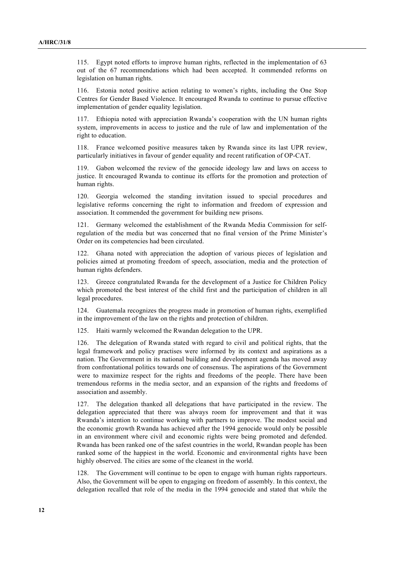115. Egypt noted efforts to improve human rights, reflected in the implementation of 63 out of the 67 recommendations which had been accepted. It commended reforms on legislation on human rights.

116. Estonia noted positive action relating to women's rights, including the One Stop Centres for Gender Based Violence. It encouraged Rwanda to continue to pursue effective implementation of gender equality legislation.

117. Ethiopia noted with appreciation Rwanda's cooperation with the UN human rights system, improvements in access to justice and the rule of law and implementation of the right to education.

118. France welcomed positive measures taken by Rwanda since its last UPR review, particularly initiatives in favour of gender equality and recent ratification of OP-CAT.

119. Gabon welcomed the review of the genocide ideology law and laws on access to justice. It encouraged Rwanda to continue its efforts for the promotion and protection of human rights.

120. Georgia welcomed the standing invitation issued to special procedures and legislative reforms concerning the right to information and freedom of expression and association. It commended the government for building new prisons.

121. Germany welcomed the establishment of the Rwanda Media Commission for selfregulation of the media but was concerned that no final version of the Prime Minister's Order on its competencies had been circulated.

122. Ghana noted with appreciation the adoption of various pieces of legislation and policies aimed at promoting freedom of speech, association, media and the protection of human rights defenders.

123. Greece congratulated Rwanda for the development of a Justice for Children Policy which promoted the best interest of the child first and the participation of children in all legal procedures.

124. Guatemala recognizes the progress made in promotion of human rights, exemplified in the improvement of the law on the rights and protection of children.

125. Haiti warmly welcomed the Rwandan delegation to the UPR.

126. The delegation of Rwanda stated with regard to civil and political rights, that the legal framework and policy practises were informed by its context and aspirations as a nation. The Government in its national building and development agenda has moved away from confrontational politics towards one of consensus. The aspirations of the Government were to maximize respect for the rights and freedoms of the people. There have been tremendous reforms in the media sector, and an expansion of the rights and freedoms of association and assembly.

127. The delegation thanked all delegations that have participated in the review. The delegation appreciated that there was always room for improvement and that it was Rwanda's intention to continue working with partners to improve. The modest social and the economic growth Rwanda has achieved after the 1994 genocide would only be possible in an environment where civil and economic rights were being promoted and defended. Rwanda has been ranked one of the safest countries in the world, Rwandan people has been ranked some of the happiest in the world. Economic and environmental rights have been highly observed. The cities are some of the cleanest in the world.

128. The Government will continue to be open to engage with human rights rapporteurs. Also, the Government will be open to engaging on freedom of assembly. In this context, the delegation recalled that role of the media in the 1994 genocide and stated that while the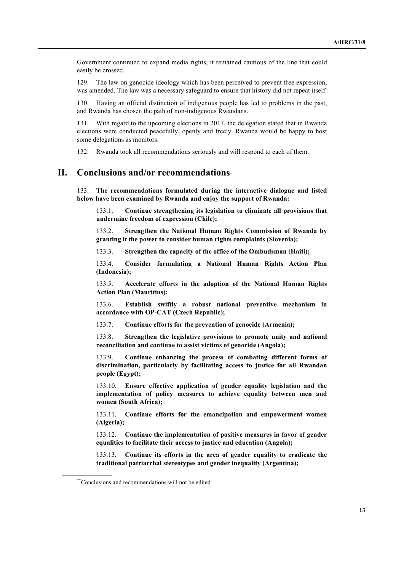Government continued to expand media rights, it remained cautious of the line that could easily be crossed.

129. The law on genocide ideology which has been perceived to prevent free expression, was amended. The law was a necessary safeguard to ensure that history did not repeat itself.

130. Having an official distinction of indigenous people has led to problems in the past, and Rwanda has chosen the path of non-indigenous Rwandans.

131. With regard to the upcoming elections in 2017, the delegation stated that in Rwanda elections were conducted peacefully, openly and freely. Rwanda would be happy to host some delegations as monitors.

132. Rwanda took all recommendations seriously and will respond to each of them.

## **II. Conclusions and/or recommendations**∗∗

133. **The recommendations formulated during the interactive dialogue and listed below have been examined by Rwanda and enjoy the support of Rwanda:**

133.1. **Continue strengthening its legislation to eliminate all provisions that undermine freedom of expression (Chile);**

133.2. **Strengthen the National Human Rights Commission of Rwanda by granting it the power to consider human rights complaints (Slovenia);**

133.3. **Strengthen the capacity of the office of the Ombudsman (Haiti);**

133.4. **Consider formulating a National Human Rights Action Plan (Indonesia);**

133.5. **Accelerate efforts in the adoption of the National Human Rights Action Plan (Mauritius);**

133.6. **Establish swiftly a robust national preventive mechanism in accordance with OP-CAT (Czech Republic);**

133.7. **Continue efforts for the prevention of genocide (Armenia);**

133.8. **Strengthen the legislative provisions to promote unity and national reconciliation and continue to assist victims of genocide (Angola);**

133.9. **Continue enhancing the process of combating different forms of discrimination, particularly by facilitating access to justice for all Rwandan people (Egypt);**

133.10. **Ensure effective application of gender equality legislation and the implementation of policy measures to achieve equality between men and women (South Africa);**

133.11. **Continue efforts for the emancipation and empowerment women (Algeria);**

133.12. **Continue the implementation of positive measures in favor of gender equalities to facilitate their access to justice and education (Angola);**

133.13. **Continue its efforts in the area of gender equality to eradicate the traditional patriarchal stereotypes and gender inequality (Argentina);**

<sup>\*\*</sup>Conclusions and recommendations will not be edited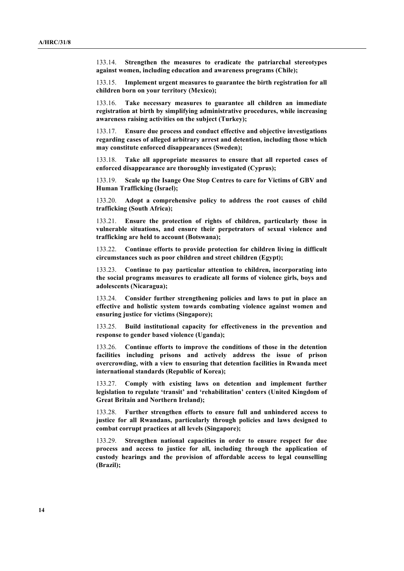133.14. **Strengthen the measures to eradicate the patriarchal stereotypes against women, including education and awareness programs (Chile);**

133.15. **Implement urgent measures to guarantee the birth registration for all children born on your territory (Mexico);**

133.16. **Take necessary measures to guarantee all children an immediate registration at birth by simplifying administrative procedures, while increasing awareness raising activities on the subject (Turkey);**

133.17. **Ensure due process and conduct effective and objective investigations regarding cases of alleged arbitrary arrest and detention, including those which may constitute enforced disappearances (Sweden);**

133.18. **Take all appropriate measures to ensure that all reported cases of enforced disappearance are thoroughly investigated (Cyprus);**

133.19. **Scale up the Isange One Stop Centres to care for Victims of GBV and Human Trafficking (Israel);**

133.20. **Adopt a comprehensive policy to address the root causes of child trafficking (South Africa);**

133.21. **Ensure the protection of rights of children, particularly those in vulnerable situations, and ensure their perpetrators of sexual violence and trafficking are held to account (Botswana);**

133.22. **Continue efforts to provide protection for children living in difficult circumstances such as poor children and street children (Egypt);**

133.23. **Continue to pay particular attention to children, incorporating into the social programs measures to eradicate all forms of violence girls, boys and adolescents (Nicaragua);**

133.24. **Consider further strengthening policies and laws to put in place an effective and holistic system towards combating violence against women and ensuring justice for victims (Singapore);**

133.25. **Build institutional capacity for effectiveness in the prevention and response to gender based violence (Uganda);**

133.26. **Continue efforts to improve the conditions of those in the detention facilities including prisons and actively address the issue of prison overcrowding, with a view to ensuring that detention facilities in Rwanda meet international standards (Republic of Korea);**

133.27. **Comply with existing laws on detention and implement further legislation to regulate 'transit' and 'rehabilitation' centers (United Kingdom of Great Britain and Northern Ireland);**

133.28. **Further strengthen efforts to ensure full and unhindered access to justice for all Rwandans, particularly through policies and laws designed to combat corrupt practices at all levels (Singapore);**

133.29. **Strengthen national capacities in order to ensure respect for due process and access to justice for all, including through the application of custody hearings and the provision of affordable access to legal counselling (Brazil);**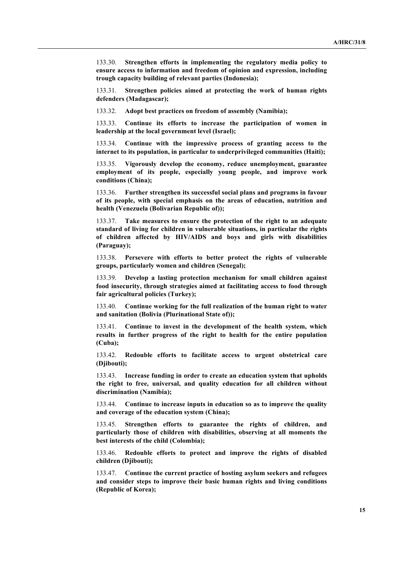133.30. **Strengthen efforts in implementing the regulatory media policy to ensure access to information and freedom of opinion and expression, including trough capacity building of relevant parties (Indonesia);**

133.31. **Strengthen policies aimed at protecting the work of human rights defenders (Madagascar);**

133.32. **Adopt best practices on freedom of assembly (Namibia);**

133.33. **Continue its efforts to increase the participation of women in leadership at the local government level (Israel);**

133.34. **Continue with the impressive process of granting access to the internet to its population, in particular to underprivileged communities (Haiti);**

133.35. **Vigorously develop the economy, reduce unemployment, guarantee employment of its people, especially young people, and improve work conditions (China);**

133.36. **Further strengthen its successful social plans and programs in favour of its people, with special emphasis on the areas of education, nutrition and health (Venezuela (Bolivarian Republic of));**

133.37. **Take measures to ensure the protection of the right to an adequate standard of living for children in vulnerable situations, in particular the rights of children affected by HIV/AIDS and boys and girls with disabilities (Paraguay);**

133.38. **Persevere with efforts to better protect the rights of vulnerable groups, particularly women and children (Senegal);**

133.39. **Develop a lasting protection mechanism for small children against food insecurity, through strategies aimed at facilitating access to food through fair agricultural policies (Turkey);**

133.40. **Continue working for the full realization of the human right to water and sanitation (Bolivia (Plurinational State of));**

133.41. **Continue to invest in the development of the health system, which results in further progress of the right to health for the entire population (Cuba);**

133.42. **Redouble efforts to facilitate access to urgent obstetrical care (Djibouti);**

133.43. **Increase funding in order to create an education system that upholds the right to free, universal, and quality education for all children without discrimination (Namibia);**

133.44. **Continue to increase inputs in education so as to improve the quality and coverage of the education system (China);**

133.45. **Strengthen efforts to guarantee the rights of children, and particularly those of children with disabilities, observing at all moments the best interests of the child (Colombia);**

133.46. **Redouble efforts to protect and improve the rights of disabled children (Djibouti);**

133.47. **Continue the current practice of hosting asylum seekers and refugees and consider steps to improve their basic human rights and living conditions (Republic of Korea);**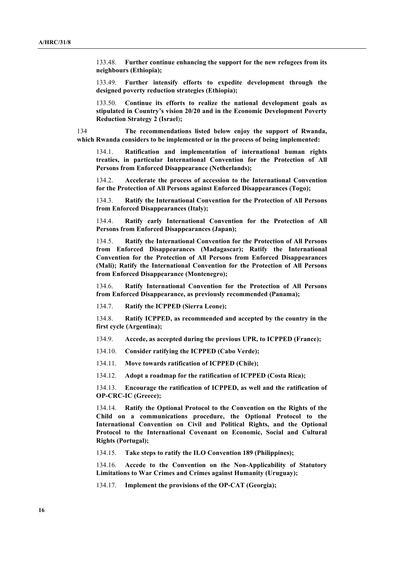133.48. **Further continue enhancing the support for the new refugees from its neighbours (Ethiopia);**

133.49. **Further intensify efforts to expedite development through the designed poverty reduction strategies (Ethiopia);**

133.50. **Continue its efforts to realize the national development goals as stipulated in Country's vision 20/20 and in the Economic Development Poverty Reduction Strategy 2 (Israel**)**;**

134 **The recommendations listed below enjoy the support of Rwanda, which Rwanda considers to be implemented or in the process of being implemented:**

134.1. **Ratification and implementation of international human rights treaties, in particular International Convention for the Protection of All Persons from Enforced Disappearance (Netherlands);**

134.2. **Accelerate the process of accession to the International Convention for the Protection of All Persons against Enforced Disappearances (Togo);**

134.3. **Ratify the International Convention for the Protection of All Persons from Enforced Disappearances (Italy);**

134.4. **Ratify early International Convention for the Protection of All Persons from Enforced Disappearances (Japan);**

134.5. **Ratify the International Convention for the Protection of All Persons from Enforced Disappearances (Madagascar); Ratify the International Convention for the Protection of All Persons from Enforced Disappearances (Mali); Ratify the International Convention for the Protection of All Persons from Enforced Disappearance (Montenegro);**

134.6. **Ratify International Convention for the Protection of All Persons from Enforced Disappearance, as previously recommended (Panama);**

134.7. **Ratify the ICPPED (Sierra Leone);**

134.8. **Ratify ICPPED, as recommended and accepted by the country in the first cycle (Argentina);**

134.9. **Accede, as accepted during the previous UPR, to ICPPED (France);**

134.10. **Consider ratifying the ICPPED (Cabo Verde);**

134.11. **Move towards ratification of ICPPED (Chile);**

134.12. **Adopt a roadmap for the ratification of ICPPED (Costa Rica);**

134.13. **Encourage the ratification of ICPPED, as well and the ratification of OP-CRC-IC (Greece);**

134.14. **Ratify the Optional Protocol to the Convention on the Rights of the Child on a communications procedure, the Optional Protocol to the International Convention on Civil and Political Rights, and the Optional Protocol to the International Covenant on Economic, Social and Cultural Rights (Portugal);**

134.15. **Take steps to ratify the ILO Convention 189 (Philippines);**

134.16. **Accede to the Convention on the Non-Applicability of Statutory Limitations to War Crimes and Crimes against Humanity (Uruguay);**

134.17. **Implement the provisions of the OP-CAT (Georgia);**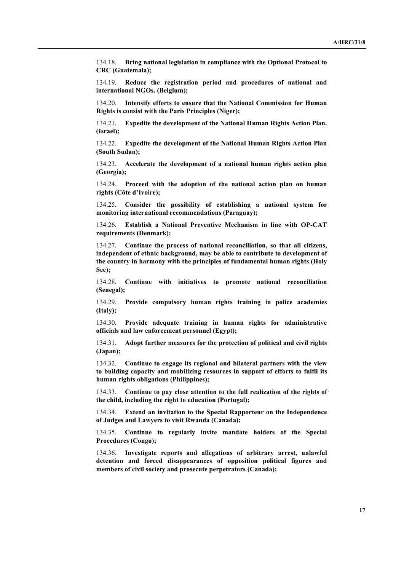134.18. **Bring national legislation in compliance with the Optional Protocol to CRC (Guatemala);**

134.19. **Reduce the registration period and procedures of national and international NGOs. (Belgium);**

134.20. **Intensify efforts to ensure that the National Commission for Human Rights is consist with the Paris Principles (Niger);**

134.21. **Expedite the development of the National Human Rights Action Plan. (Israel);**

134.22. **Expedite the development of the National Human Rights Action Plan (South Sudan);**

134.23. **Accelerate the development of a national human rights action plan (Georgia);**

134.24. **Proceed with the adoption of the national action plan on human rights (Côte d'Ivoire);**

134.25. **Consider the possibility of establishing a national system for monitoring international recommendations (Paraguay);**

134.26. **Establish a National Preventive Mechanism in line with OP-CAT requirements (Denmark);**

134.27. **Continue the process of national reconciliation, so that all citizens, independent of ethnic background, may be able to contribute to development of the country in harmony with the principles of fundamental human rights (Holy See);**

134.28. **Continue with initiatives to promote national reconciliation (Senegal);**

134.29. **Provide compulsory human rights training in police academies (Italy);**

134.30. **Provide adequate training in human rights for administrative officials and law enforcement personnel (Egypt);**

134.31. **Adopt further measures for the protection of political and civil rights (Japan);**

134.32. **Continue to engage its regional and bilateral partners with the view to building capacity and mobilizing resources in support of efforts to fulfil its human rights obligations (Philippines);**

134.33. **Continue to pay close attention to the full realization of the rights of the child, including the right to education (Portugal);**

134.34. **Extend an invitation to the Special Rapporteur on the Independence of Judges and Lawyers to visit Rwanda (Canada);**

134.35. **Continue to regularly invite mandate holders of the Special Procedures (Congo);**

134.36. **Investigate reports and allegations of arbitrary arrest, unlawful detention and forced disappearances of opposition political figures and members of civil society and prosecute perpetrators (Canada);**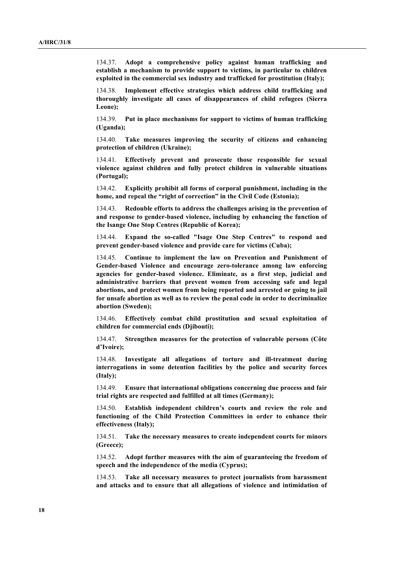134.37. **Adopt a comprehensive policy against human trafficking and establish a mechanism to provide support to victims, in particular to children exploited in the commercial sex industry and trafficked for prostitution (Italy);**

Implement effective strategies which address child trafficking and **thoroughly investigate all cases of disappearances of child refugees (Sierra Leone);**

134.39. **Put in place mechanisms for support to victims of human trafficking (Uganda);**

134.40. **Take measures improving the security of citizens and enhancing protection of children (Ukraine);**

134.41. **Effectively prevent and prosecute those responsible for sexual violence against children and fully protect children in vulnerable situations (Portugal);**

134.42. **Explicitly prohibit all forms of corporal punishment, including in the home, and repeal the "right of correction" in the Civil Code (Estonia);**

134.43. **Redouble efforts to address the challenges arising in the prevention of and response to gender-based violence, including by enhancing the function of the Isange One Stop Centres (Republic of Korea);**

134.44. **Expand the so-called "Isage One Step Centres" to respond and prevent gender-based violence and provide care for victims (Cuba);**

134.45. **Continue to implement the law on Prevention and Punishment of Gender-based Violence and encourage zero-tolerance among law enforcing agencies for gender-based violence. Eliminate, as a first step, judicial and administrative barriers that prevent women from accessing safe and legal abortions, and protect women from being reported and arrested or going to jail for unsafe abortion as well as to review the penal code in order to decriminalize abortion (Sweden);**

134.46. **Effectively combat child prostitution and sexual exploitation of children for commercial ends (Djibouti);** 

134.47. **Strengthen measures for the protection of vulnerable persons (Côte d'Ivoire);**

134.48. **Investigate all allegations of torture and ill-treatment during interrogations in some detention facilities by the police and security forces (Italy);**

134.49. **Ensure that international obligations concerning due process and fair trial rights are respected and fulfilled at all times (Germany);**

134.50. **Establish independent children's courts and review the role and functioning of the Child Protection Committees in order to enhance their effectiveness (Italy);**

134.51. **Take the necessary measures to create independent courts for minors (Greece);**

134.52. **Adopt further measures with the aim of guaranteeing the freedom of speech and the independence of the media (Cyprus);**

134.53. **Take all necessary measures to protect journalists from harassment and attacks and to ensure that all allegations of violence and intimidation of**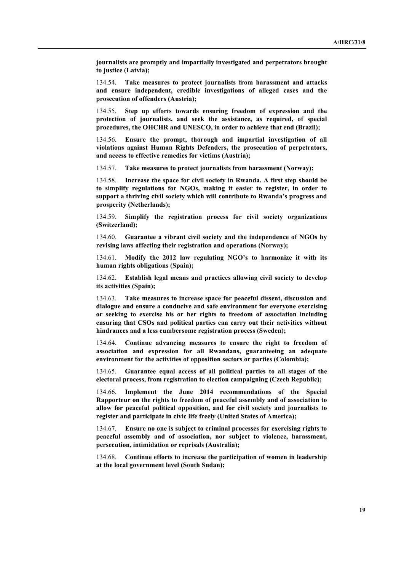**journalists are promptly and impartially investigated and perpetrators brought to justice (Latvia);**

134.54. **Take measures to protect journalists from harassment and attacks and ensure independent, credible investigations of alleged cases and the prosecution of offenders (Austria);**

134.55. **Step up efforts towards ensuring freedom of expression and the protection of journalists, and seek the assistance, as required, of special procedures, the OHCHR and UNESCO, in order to achieve that end (Brazil);**

134.56. **Ensure the prompt, thorough and impartial investigation of all violations against Human Rights Defenders, the prosecution of perpetrators, and access to effective remedies for victims (Austria);**

134.57. **Take measures to protect journalists from harassment (Norway);**

134.58. **Increase the space for civil society in Rwanda. A first step should be to simplify regulations for NGOs, making it easier to register, in order to support a thriving civil society which will contribute to Rwanda's progress and prosperity (Netherlands);**

134.59. **Simplify the registration process for civil society organizations (Switzerland);**

134.60. **Guarantee a vibrant civil society and the independence of NGOs by revising laws affecting their registration and operations (Norway);**

134.61. **Modify the 2012 law regulating NGO's to harmonize it with its human rights obligations (Spain);**

134.62. **Establish legal means and practices allowing civil society to develop its activities (Spain);**

134.63. **Take measures to increase space for peaceful dissent, discussion and dialogue and ensure a conducive and safe environment for everyone exercising or seeking to exercise his or her rights to freedom of association including ensuring that CSOs and political parties can carry out their activities without hindrances and a less cumbersome registration process (Sweden);**

134.64. **Continue advancing measures to ensure the right to freedom of association and expression for all Rwandans, guaranteeing an adequate environment for the activities of opposition sectors or parties (Colombia);**

134.65. **Guarantee equal access of all political parties to all stages of the electoral process, from registration to election campaigning (Czech Republic);**

134.66. **Implement the June 2014 recommendations of the Special Rapporteur on the rights to freedom of peaceful assembly and of association to allow for peaceful political opposition, and for civil society and journalists to register and participate in civic life freely (United States of America);**

134.67. **Ensure no one is subject to criminal processes for exercising rights to peaceful assembly and of association, nor subject to violence, harassment, persecution, intimidation or reprisals (Australia);**

134.68. **Continue efforts to increase the participation of women in leadership at the local government level (South Sudan);**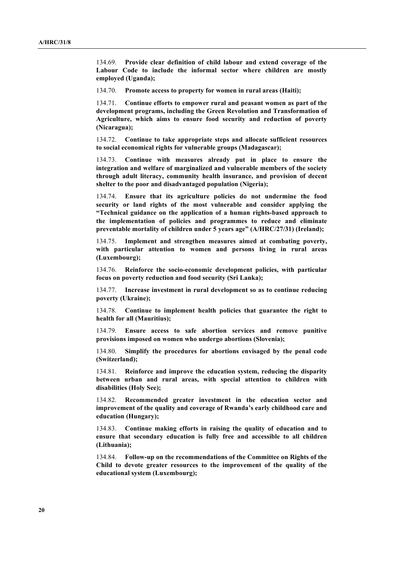134.69. **Provide clear definition of child labour and extend coverage of the Labour Code to include the informal sector where children are mostly employed (Uganda);**

134.70. **Promote access to property for women in rural areas (Haiti);**

134.71. **Continue efforts to empower rural and peasant women as part of the development programs, including the Green Revolution and Transformation of Agriculture, which aims to ensure food security and reduction of poverty (Nicaragua);**

134.72. **Continue to take appropriate steps and allocate sufficient resources to social economical rights for vulnerable groups (Madagascar);**

134.73. **Continue with measures already put in place to ensure the integration and welfare of marginalized and vulnerable members of the society through adult literacy, community health insurance, and provision of decent shelter to the poor and disadvantaged population (Nigeria);**

134.74. **Ensure that its agriculture policies do not undermine the food security or land rights of the most vulnerable and consider applying the "Technical guidance on the application of a human rights-based approach to the implementation of policies and programmes to reduce and eliminate preventable mortality of children under 5 years age" (A/HRC/27/31) (Ireland);**

134.75. **Implement and strengthen measures aimed at combating poverty, with particular attention to women and persons living in rural areas (Luxembourg);**

134.76. **Reinforce the socio-economic development policies, with particular focus on poverty reduction and food security (Sri Lanka);**

134.77. **Increase investment in rural development so as to continue reducing poverty (Ukraine);**

134.78. **Continue to implement health policies that guarantee the right to health for all (Mauritius);**

134.79. **Ensure access to safe abortion services and remove punitive provisions imposed on women who undergo abortions (Slovenia);**

134.80. **Simplify the procedures for abortions envisaged by the penal code (Switzerland);**

134.81. **Reinforce and improve the education system, reducing the disparity between urban and rural areas, with special attention to children with disabilities (Holy See);**

134.82. **Recommended greater investment in the education sector and improvement of the quality and coverage of Rwanda's early childhood care and education (Hungary);**

134.83. **Continue making efforts in raising the quality of education and to ensure that secondary education is fully free and accessible to all children (Lithuania);**

134.84. **Follow-up on the recommendations of the Committee on Rights of the Child to devote greater resources to the improvement of the quality of the educational system (Luxembourg);**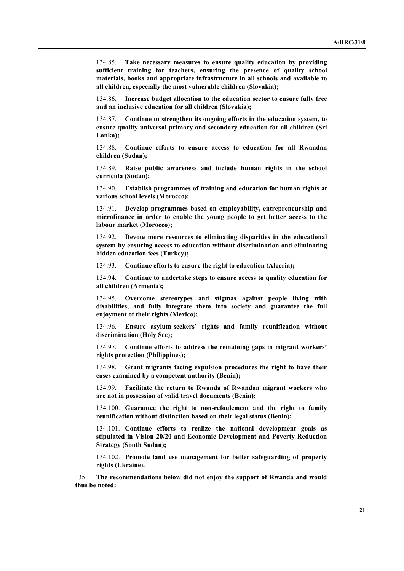134.85. **Take necessary measures to ensure quality education by providing sufficient training for teachers, ensuring the presence of quality school materials, books and appropriate infrastructure in all schools and available to all children, especially the most vulnerable children (Slovakia);**

134.86. **Increase budget allocation to the education sector to ensure fully free and an inclusive education for all children (Slovakia);**

134.87. **Continue to strengthen its ongoing efforts in the education system, to ensure quality universal primary and secondary education for all children (Sri Lanka);**

134.88. **Continue efforts to ensure access to education for all Rwandan children (Sudan);**

134.89. **Raise public awareness and include human rights in the school curricula (Sudan);**

134.90. **Establish programmes of training and education for human rights at various school levels (Morocco);**

134.91. **Develop programmes based on employability, entrepreneurship and microfinance in order to enable the young people to get better access to the labour market (Morocco);**

134.92. **Devote more resources to eliminating disparities in the educational system by ensuring access to education without discrimination and eliminating hidden education fees (Turkey);**

134.93. **Continue efforts to ensure the right to education (Algeria);**

134.94. **Continue to undertake steps to ensure access to quality education for all children (Armenia);**

134.95. **Overcome stereotypes and stigmas against people living with disabilities, and fully integrate them into society and guarantee the full enjoyment of their rights (Mexico);**

134.96. **Ensure asylum-seekers' rights and family reunification without discrimination (Holy See);**

134.97. **Continue efforts to address the remaining gaps in migrant workers' rights protection (Philippines);**

134.98. **Grant migrants facing expulsion procedures the right to have their cases examined by a competent authority (Benin);**

134.99. **Facilitate the return to Rwanda of Rwandan migrant workers who are not in possession of valid travel documents (Benin);**

134.100. **Guarantee the right to non-refoulement and the right to family reunification without distinction based on their legal status (Benin);**

134.101. **Continue efforts to realize the national development goals as stipulated in Vision 20/20 and Economic Development and Poverty Reduction Strategy (South Sudan);**

134.102. **Promote land use management for better safeguarding of property rights (Ukraine**)**.**

135. **The recommendations below did not enjoy the support of Rwanda and would thus be noted:**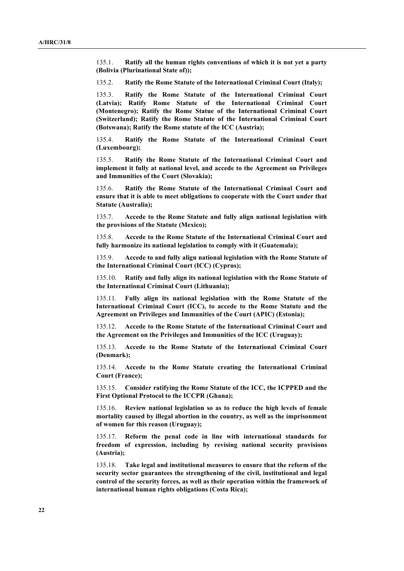135.1. **Ratify all the human rights conventions of which it is not yet a party (Bolivia (Plurinational State of));**

135.2. **Ratify the Rome Statute of the International Criminal Court (Italy);**

135.3. **Ratify the Rome Statute of the International Criminal Court (Latvia); Ratify Rome Statute of the International Criminal Court (Montenegro); Ratify the Rome Statue of the International Criminal Court (Switzerland); Ratify the Rome Statute of the International Criminal Court (Botswana); Ratify the Rome statute of the ICC (Austria);**

135.4. **Ratify the Rome Statute of the International Criminal Court (Luxembourg);**

135.5. **Ratify the Rome Statute of the International Criminal Court and implement it fully at national level, and accede to the Agreement on Privileges and Immunities of the Court (Slovakia);**

135.6. **Ratify the Rome Statute of the International Criminal Court and ensure that it is able to meet obligations to cooperate with the Court under that Statute (Australia);**

135.7. **Accede to the Rome Statute and fully align national legislation with the provisions of the Statute (Mexico);**

135.8. **Accede to the Rome Statute of the International Criminal Court and fully harmonize its national legislation to comply with it (Guatemala);**

135.9. **Accede to and fully align national legislation with the Rome Statute of the International Criminal Court (ICC) (Cyprus);**

135.10. **Ratify and fully align its national legislation with the Rome Statute of the International Criminal Court (Lithuania);**

135.11. **Fully align its national legislation with the Rome Statute of the International Criminal Court (ICC), to accede to the Rome Statute and the Agreement on Privileges and Immunities of the Court (APIC) (Estonia);**

135.12. **Accede to the Rome Statute of the International Criminal Court and the Agreement on the Privileges and Immunities of the ICC (Uruguay);**

135.13. **Accede to the Rome Statute of the International Criminal Court (Denmark);**

135.14. **Accede to the Rome Statute creating the International Criminal Court (France);**

135.15. **Consider ratifying the Rome Statute of the ICC, the ICPPED and the First Optional Protocol to the ICCPR (Ghana);**

135.16. **Review national legislation so as to reduce the high levels of female mortality caused by illegal abortion in the country, as well as the imprisonment of women for this reason (Uruguay);**

135.17. **Reform the penal code in line with international standards for freedom of expression, including by revising national security provisions (Austria);**

135.18. **Take legal and institutional measures to ensure that the reform of the security sector guarantees the strengthening of the civil, institutional and legal control of the security forces, as well as their operation within the framework of international human rights obligations (Costa Rica);**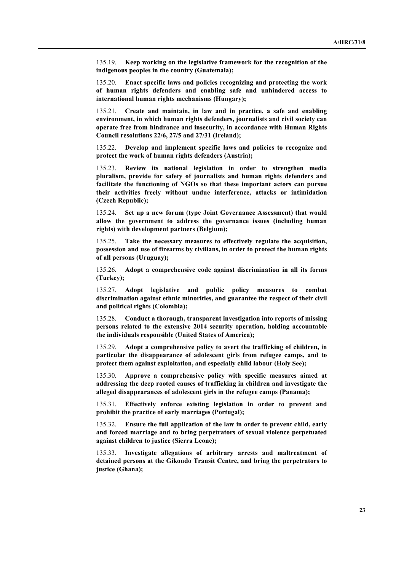135.19. **Keep working on the legislative framework for the recognition of the indigenous peoples in the country (Guatemala);**

135.20. **Enact specific laws and policies recognizing and protecting the work of human rights defenders and enabling safe and unhindered access to international human rights mechanisms (Hungary);**

135.21. **Create and maintain, in law and in practice, a safe and enabling environment, in which human rights defenders, journalists and civil society can operate free from hindrance and insecurity, in accordance with Human Rights Council resolutions 22/6, 27/5 and 27/31 (Ireland);**

135.22. **Develop and implement specific laws and policies to recognize and protect the work of human rights defenders (Austria);**

135.23. **Review its national legislation in order to strengthen media pluralism, provide for safety of journalists and human rights defenders and facilitate the functioning of NGOs so that these important actors can pursue their activities freely without undue interference, attacks or intimidation (Czech Republic);**

135.24. **Set up a new forum (type Joint Governance Assessment) that would allow the government to address the governance issues (including human rights) with development partners (Belgium);**

135.25. **Take the necessary measures to effectively regulate the acquisition, possession and use of firearms by civilians, in order to protect the human rights of all persons (Uruguay);**

135.26. **Adopt a comprehensive code against discrimination in all its forms (Turkey);**

135.27. **Adopt legislative and public policy measures to combat discrimination against ethnic minorities, and guarantee the respect of their civil and political rights (Colombia);**

135.28. **Conduct a thorough, transparent investigation into reports of missing persons related to the extensive 2014 security operation, holding accountable the individuals responsible (United States of America);**

135.29. **Adopt a comprehensive policy to avert the trafficking of children, in particular the disappearance of adolescent girls from refugee camps, and to protect them against exploitation, and especially child labour (Holy See);**

135.30. **Approve a comprehensive policy with specific measures aimed at addressing the deep rooted causes of trafficking in children and investigate the alleged disappearances of adolescent girls in the refugee camps (Panama);**

135.31. **Effectively enforce existing legislation in order to prevent and prohibit the practice of early marriages (Portugal);**

135.32. **Ensure the full application of the law in order to prevent child, early and forced marriage and to bring perpetrators of sexual violence perpetuated against children to justice (Sierra Leone);**

135.33. **Investigate allegations of arbitrary arrests and maltreatment of detained persons at the Gikondo Transit Centre, and bring the perpetrators to justice (Ghana);**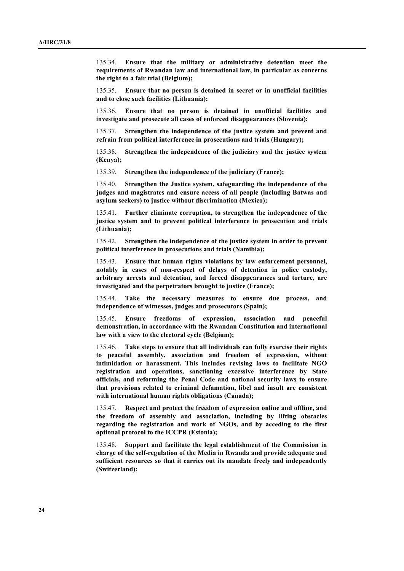135.34. **Ensure that the military or administrative detention meet the requirements of Rwandan law and international law, in particular as concerns the right to a fair trial (Belgium);**

135.35. **Ensure that no person is detained in secret or in unofficial facilities and to close such facilities (Lithuania);**

135.36. **Ensure that no person is detained in unofficial facilities and investigate and prosecute all cases of enforced disappearances (Slovenia);**

135.37. **Strengthen the independence of the justice system and prevent and refrain from political interference in prosecutions and trials (Hungary);**

135.38. **Strengthen the independence of the judiciary and the justice system (Kenya);**

135.39. **Strengthen the independence of the judiciary (France);**

135.40. **Strengthen the Justice system, safeguarding the independence of the judges and magistrates and ensure access of all people (including Batwas and asylum seekers) to justice without discrimination (Mexico);**

135.41. **Further eliminate corruption, to strengthen the independence of the justice system and to prevent political interference in prosecution and trials (Lithuania);**

135.42. **Strengthen the independence of the justice system in order to prevent political interference in prosecutions and trials (Namibia);**

135.43. **Ensure that human rights violations by law enforcement personnel, notably in cases of non-respect of delays of detention in police custody, arbitrary arrests and detention, and forced disappearances and torture, are investigated and the perpetrators brought to justice (France);**

135.44. **Take the necessary measures to ensure due process, and independence of witnesses, judges and prosecutors (Spain);**

135.45. **Ensure freedoms of expression, association and peaceful demonstration, in accordance with the Rwandan Constitution and international law with a view to the electoral cycle (Belgium);**

135.46. **Take steps to ensure that all individuals can fully exercise their rights to peaceful assembly, association and freedom of expression, without intimidation or harassment. This includes revising laws to facilitate NGO registration and operations, sanctioning excessive interference by State officials, and reforming the Penal Code and national security laws to ensure that provisions related to criminal defamation, libel and insult are consistent with international human rights obligations (Canada);**

135.47. **Respect and protect the freedom of expression online and offline, and the freedom of assembly and association, including by lifting obstacles regarding the registration and work of NGOs, and by acceding to the first optional protocol to the ICCPR (Estonia);**

135.48. **Support and facilitate the legal establishment of the Commission in charge of the self-regulation of the Media in Rwanda and provide adequate and sufficient resources so that it carries out its mandate freely and independently (Switzerland);**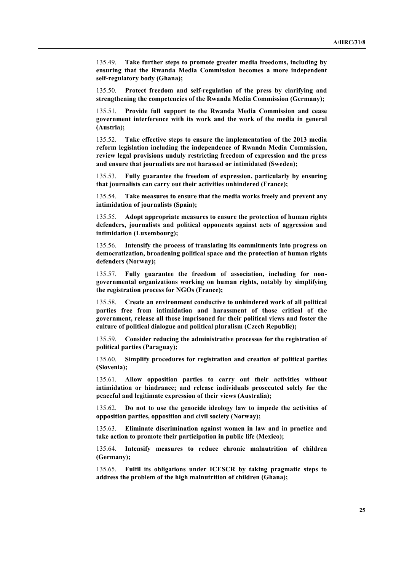135.49. **Take further steps to promote greater media freedoms, including by ensuring that the Rwanda Media Commission becomes a more independent self-regulatory body (Ghana);**

135.50. **Protect freedom and self-regulation of the press by clarifying and strengthening the competencies of the Rwanda Media Commission (Germany);**

135.51. **Provide full support to the Rwanda Media Commission and cease government interference with its work and the work of the media in general (Austria);**

135.52. **Take effective steps to ensure the implementation of the 2013 media reform legislation including the independence of Rwanda Media Commission, review legal provisions unduly restricting freedom of expression and the press and ensure that journalists are not harassed or intimidated (Sweden);**

135.53. **Fully guarantee the freedom of expression, particularly by ensuring that journalists can carry out their activities unhindered (France);**

135.54. **Take measures to ensure that the media works freely and prevent any intimidation of journalists (Spain);**

135.55. **Adopt appropriate measures to ensure the protection of human rights defenders, journalists and political opponents against acts of aggression and intimidation (Luxembourg);**

135.56. **Intensify the process of translating its commitments into progress on democratization, broadening political space and the protection of human rights defenders (Norway);**

135.57. **Fully guarantee the freedom of association, including for nongovernmental organizations working on human rights, notably by simplifying the registration process for NGOs (France);**

135.58. **Create an environment conductive to unhindered work of all political parties free from intimidation and harassment of those critical of the government, release all those imprisoned for their political views and foster the culture of political dialogue and political pluralism (Czech Republic);**

135.59. **Consider reducing the administrative processes for the registration of political parties (Paraguay);**

135.60. **Simplify procedures for registration and creation of political parties (Slovenia);**

135.61. **Allow opposition parties to carry out their activities without intimidation or hindrance; and release individuals prosecuted solely for the peaceful and legitimate expression of their views (Australia);**

135.62. **Do not to use the genocide ideology law to impede the activities of opposition parties, opposition and civil society (Norway);**

135.63. **Eliminate discrimination against women in law and in practice and take action to promote their participation in public life (Mexico);**

135.64. **Intensify measures to reduce chronic malnutrition of children (Germany);**

135.65. **Fulfil its obligations under ICESCR by taking pragmatic steps to address the problem of the high malnutrition of children (Ghana);**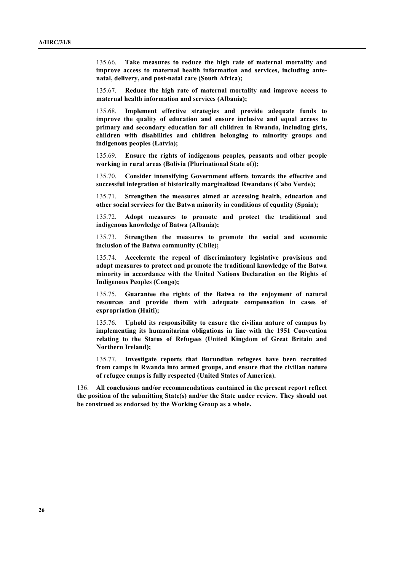135.66. **Take measures to reduce the high rate of maternal mortality and improve access to maternal health information and services, including antenatal, delivery, and post-natal care (South Africa);** 

135.67. **Reduce the high rate of maternal mortality and improve access to maternal health information and services (Albania);**

135.68. **Implement effective strategies and provide adequate funds to improve the quality of education and ensure inclusive and equal access to primary and secondary education for all children in Rwanda, including girls, children with disabilities and children belonging to minority groups and indigenous peoples (Latvia);**

135.69. **Ensure the rights of indigenous peoples, peasants and other people working in rural areas (Bolivia (Plurinational State of));**

135.70. **Consider intensifying Government efforts towards the effective and successful integration of historically marginalized Rwandans (Cabo Verde);**

135.71. **Strengthen the measures aimed at accessing health, education and other social services for the Batwa minority in conditions of equality (Spain);**

135.72. **Adopt measures to promote and protect the traditional and indigenous knowledge of Batwa (Albania);**

135.73. **Strengthen the measures to promote the social and economic inclusion of the Batwa community (Chile);**

135.74. **Accelerate the repeal of discriminatory legislative provisions and adopt measures to protect and promote the traditional knowledge of the Batwa minority in accordance with the United Nations Declaration on the Rights of Indigenous Peoples (Congo);**

135.75. **Guarantee the rights of the Batwa to the enjoyment of natural resources and provide them with adequate compensation in cases of expropriation (Haiti);**

135.76. **Uphold its responsibility to ensure the civilian nature of campus by implementing its humanitarian obligations in line with the 1951 Convention relating to the Status of Refugees (United Kingdom of Great Britain and Northern Ireland);**

135.77. **Investigate reports that Burundian refugees have been recruited from camps in Rwanda into armed groups, and ensure that the civilian nature of refugee camps is fully respected (United States of America**)**.**

136. **All conclusions and/or recommendations contained in the present report reflect the position of the submitting State(s) and/or the State under review. They should not be construed as endorsed by the Working Group as a whole.**